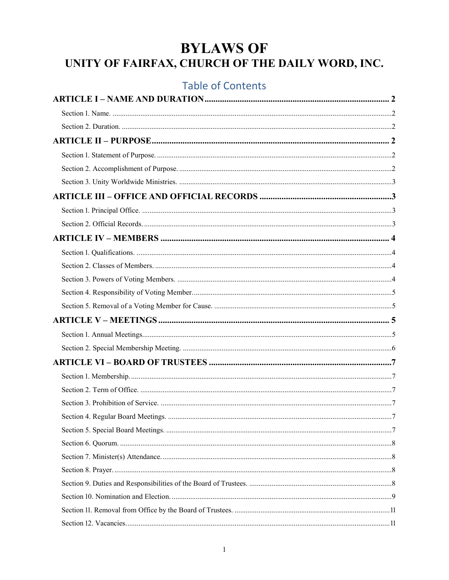# **BYLAWS OF** UNITY OF FAIRFAX, CHURCH OF THE DAILY WORD, INC.

## **Table of Contents**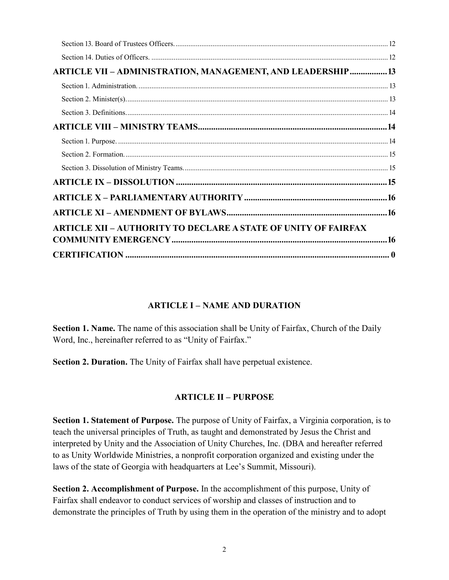| ARTICLE VII - ADMINISTRATION, MANAGEMENT, AND LEADERSHIP  13          |  |
|-----------------------------------------------------------------------|--|
|                                                                       |  |
|                                                                       |  |
|                                                                       |  |
|                                                                       |  |
|                                                                       |  |
|                                                                       |  |
|                                                                       |  |
|                                                                       |  |
|                                                                       |  |
|                                                                       |  |
| <b>ARTICLE XII - AUTHORITY TO DECLARE A STATE OF UNITY OF FAIRFAX</b> |  |
|                                                                       |  |
|                                                                       |  |

#### **ARTICLE I – NAME AND DURATION**

<span id="page-1-1"></span><span id="page-1-0"></span>**Section 1. Name.** The name of this association shall be Unity of Fairfax, Church of the Daily Word, Inc., hereinafter referred to as "Unity of Fairfax."

<span id="page-1-3"></span><span id="page-1-2"></span>**Section 2. Duration.** The Unity of Fairfax shall have perpetual existence.

#### **ARTICLE II – PURPOSE**

<span id="page-1-4"></span>**Section 1. Statement of Purpose.** The purpose of Unity of Fairfax, a Virginia corporation, is to teach the universal principles of Truth, as taught and demonstrated by Jesus the Christ and interpreted by Unity and the Association of Unity Churches, Inc. (DBA and hereafter referred to as Unity Worldwide Ministries, a nonprofit corporation organized and existing under the laws of the state of Georgia with headquarters at Lee's Summit, Missouri).

<span id="page-1-5"></span>**Section 2. Accomplishment of Purpose.** In the accomplishment of this purpose, Unity of Fairfax shall endeavor to conduct services of worship and classes of instruction and to demonstrate the principles of Truth by using them in the operation of the ministry and to adopt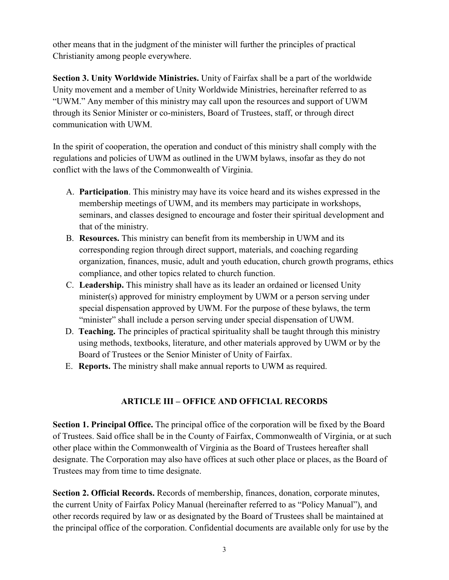other means that in the judgment of the minister will further the principles of practical Christianity among people everywhere.

<span id="page-2-0"></span>**Section 3. Unity Worldwide Ministries.** Unity of Fairfax shall be a part of the worldwide Unity movement and a member of Unity Worldwide Ministries, hereinafter referred to as "UWM." Any member of this ministry may call upon the resources and support of UWM through its Senior Minister or co-ministers, Board of Trustees, staff, or through direct communication with UWM.

In the spirit of cooperation, the operation and conduct of this ministry shall comply with the regulations and policies of UWM as outlined in the UWM bylaws, insofar as they do not conflict with the laws of the Commonwealth of Virginia.

- A. **Participation**. This ministry may have its voice heard and its wishes expressed in the membership meetings of UWM, and its members may participate in workshops, seminars, and classes designed to encourage and foster their spiritual development and that of the ministry.
- B. **Resources.** This ministry can benefit from its membership in UWM and its corresponding region through direct support, materials, and coaching regarding organization, finances, music, adult and youth education, church growth programs, ethics compliance, and other topics related to church function.
- C. **Leadership.** This ministry shall have as its leader an ordained or licensed Unity minister(s) approved for ministry employment by UWM or a person serving under special dispensation approved by UWM. For the purpose of these bylaws, the term "minister" shall include a person serving under special dispensation of UWM.
- D. **Teaching.** The principles of practical spirituality shall be taught through this ministry using methods, textbooks, literature, and other materials approved by UWM or by the Board of Trustees or the Senior Minister of Unity of Fairfax.
- <span id="page-2-1"></span>E. **Reports.** The ministry shall make annual reports to UWM as required.

## **ARTICLE III – OFFICE AND OFFICIAL RECORDS**

<span id="page-2-2"></span>**Section 1. Principal Office.** The principal office of the corporation will be fixed by the Board of Trustees. Said office shall be in the County of Fairfax, Commonwealth of Virginia, or at such other place within the Commonwealth of Virginia as the Board of Trustees hereafter shall designate. The Corporation may also have offices at such other place or places, as the Board of Trustees may from time to time designate.

<span id="page-2-3"></span>**Section 2. Official Records.** Records of membership, finances, donation, corporate minutes, the current Unity of Fairfax Policy Manual (hereinafter referred to as "Policy Manual"), and other records required by law or as designated by the Board of Trustees shall be maintained at the principal office of the corporation. Confidential documents are available only for use by the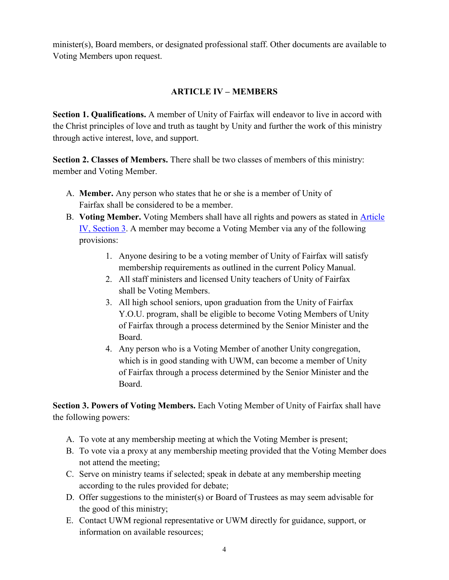<span id="page-3-0"></span>minister(s), Board members, or designated professional staff. Other documents are available to Voting Members upon request.

### **ARTICLE IV – MEMBERS**

<span id="page-3-1"></span>**Section 1. Qualifications.** A member of Unity of Fairfax will endeavor to live in accord with the Christ principles of love and truth as taught by Unity and further the work of this ministry through active interest, love, and support.

<span id="page-3-2"></span>**Section 2. Classes of Members.** There shall be two classes of members of this ministry: member and Voting Member.

- A. **Member.** Any person who states that he or she is a member of Unity of Fairfax shall be considered to be a member.
- B. **Voting Member.** Voting Members shall have all rights and powers as stated in [Article](#page-3-3)  [IV, Section 3.](#page-3-3) A member may become a Voting Member via any of the following provisions:
	- 1. Anyone desiring to be a voting member of Unity of Fairfax will satisfy membership requirements as outlined in the current Policy Manual.
	- 2. All staff ministers and licensed Unity teachers of Unity of Fairfax shall be Voting Members.
	- 3. All high school seniors, upon graduation from the Unity of Fairfax Y.O.U. program, shall be eligible to become Voting Members of Unity of Fairfax through a process determined by the Senior Minister and the Board.
	- 4. Any person who is a Voting Member of another Unity congregation, which is in good standing with UWM, can become a member of Unity of Fairfax through a process determined by the Senior Minister and the Board.

<span id="page-3-3"></span>**Section 3. Powers of Voting Members.** Each Voting Member of Unity of Fairfax shall have the following powers:

- A. To vote at any membership meeting at which the Voting Member is present;
- B. To vote via a proxy at any membership meeting provided that the Voting Member does not attend the meeting;
- C. Serve on ministry teams if selected; speak in debate at any membership meeting according to the rules provided for debate;
- D. Offer suggestions to the minister(s) or Board of Trustees as may seem advisable for the good of this ministry;
- E. Contact UWM regional representative or UWM directly for guidance, support, or information on available resources;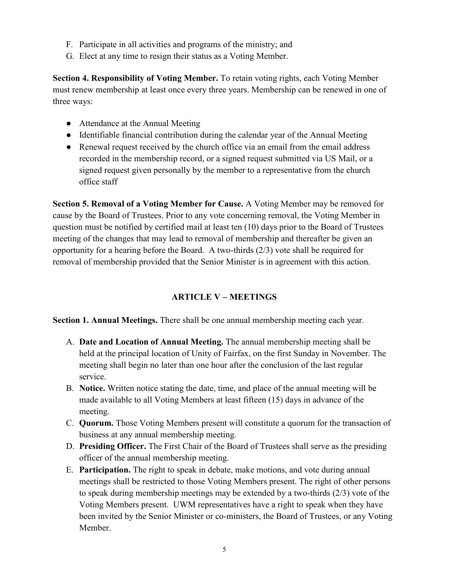- F. Participate in all activities and programs of the ministry; and
- G. Elect at any time to resign their status as a Voting Member.

<span id="page-4-0"></span>**Section 4. Responsibility of Voting Member.** To retain voting rights, each Voting Member must renew membership at least once every three years. Membership can be renewed in one of three ways:

- Attendance at the Annual Meeting
- Identifiable financial contribution during the calendar year of the Annual Meeting
- Renewal request received by the church office via an email from the email address recorded in the membership record, or a signed request submitted via US Mail, or a signed request given personally by the member to a representative from the church office staff

<span id="page-4-1"></span>**Section 5. Removal of a Voting Member for Cause.** A Voting Member may be removed for cause by the Board of Trustees. Prior to any vote concerning removal, the Voting Member in question must be notified by certified mail at least ten (10) days prior to the Board of Trustees meeting of the changes that may lead to removal of membership and thereafter be given an opportunity for a hearing before the Board. A two-thirds (2/3) vote shall be required for removal of membership provided that the Senior Minister is in agreement with this action.

## **ARTICLE V – MEETINGS**

<span id="page-4-3"></span><span id="page-4-2"></span>**Section 1. Annual Meetings.** There shall be one annual membership meeting each year.

- A. **Date and Location of Annual Meeting.** The annual membership meeting shall be held at the principal location of Unity of Fairfax, on the first Sunday in November. The meeting shall begin no later than one hour after the conclusion of the last regular service.
- B. **Notice.** Written notice stating the date, time, and place of the annual meeting will be made available to all Voting Members at least fifteen (15) days in advance of the meeting.
- C. **Quorum.** Those Voting Members present will constitute a quorum for the transaction of business at any annual membership meeting.
- D. **Presiding Officer.** The First Chair of the Board of Trustees shall serve as the presiding officer of the annual membership meeting.
- E. **Participation.** The right to speak in debate, make motions, and vote during annual meetings shall be restricted to those Voting Members present. The right of other persons to speak during membership meetings may be extended by a two-thirds (2/3) vote of the Voting Members present. UWM representatives have a right to speak when they have been invited by the Senior Minister or co-ministers, the Board of Trustees, or any Voting Member.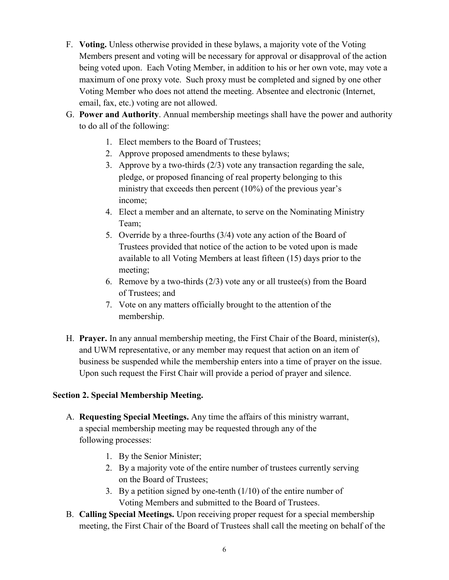- F. **Voting.** Unless otherwise provided in these bylaws, a majority vote of the Voting Members present and voting will be necessary for approval or disapproval of the action being voted upon. Each Voting Member, in addition to his or her own vote, may vote a maximum of one proxy vote. Such proxy must be completed and signed by one other Voting Member who does not attend the meeting. Absentee and electronic (Internet, email, fax, etc.) voting are not allowed.
- G. **Power and Authority**. Annual membership meetings shall have the power and authority to do all of the following:
	- 1. Elect members to the Board of Trustees;
	- 2. Approve proposed amendments to these bylaws;
	- 3. Approve by a two-thirds (2/3) vote any transaction regarding the sale, pledge, or proposed financing of real property belonging to this ministry that exceeds then percent (10%) of the previous year's income;
	- 4. Elect a member and an alternate, to serve on the Nominating Ministry Team;
	- 5. Override by a three-fourths (3/4) vote any action of the Board of Trustees provided that notice of the action to be voted upon is made available to all Voting Members at least fifteen (15) days prior to the meeting;
	- 6. Remove by a two-thirds  $(2/3)$  vote any or all trustee(s) from the Board of Trustees; and
	- 7. Vote on any matters officially brought to the attention of the membership.
- H. **Prayer.** In any annual membership meeting, the First Chair of the Board, minister(s), and UWM representative, or any member may request that action on an item of business be suspended while the membership enters into a time of prayer on the issue. Upon such request the First Chair will provide a period of prayer and silence.

#### <span id="page-5-0"></span>**Section 2. Special Membership Meeting.**

- A. **Requesting Special Meetings.** Any time the affairs of this ministry warrant, a special membership meeting may be requested through any of the following processes:
	- 1. By the Senior Minister;
	- 2. By a majority vote of the entire number of trustees currently serving on the Board of Trustees;
	- 3. By a petition signed by one-tenth (1/10) of the entire number of Voting Members and submitted to the Board of Trustees.
- B. **Calling Special Meetings.** Upon receiving proper request for a special membership meeting, the First Chair of the Board of Trustees shall call the meeting on behalf of the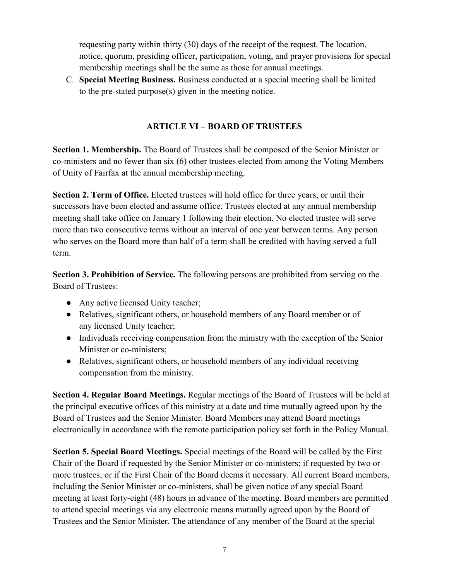requesting party within thirty (30) days of the receipt of the request. The location, notice, quorum, presiding officer, participation, voting, and prayer provisions for special membership meetings shall be the same as those for annual meetings.

<span id="page-6-0"></span>C. **Special Meeting Business.** Business conducted at a special meeting shall be limited to the pre-stated purpose(s) given in the meeting notice.

### **ARTICLE VI – BOARD OF TRUSTEES**

<span id="page-6-1"></span>**Section 1. Membership.** The Board of Trustees shall be composed of the Senior Minister or co-ministers and no fewer than six (6) other trustees elected from among the Voting Members of Unity of Fairfax at the annual membership meeting.

<span id="page-6-2"></span>**Section 2. Term of Office.** Elected trustees will hold office for three years, or until their successors have been elected and assume office. Trustees elected at any annual membership meeting shall take office on January 1 following their election. No elected trustee will serve more than two consecutive terms without an interval of one year between terms. Any person who serves on the Board more than half of a term shall be credited with having served a full term.

<span id="page-6-3"></span>**Section 3. Prohibition of Service.** The following persons are prohibited from serving on the Board of Trustees:

- Any active licensed Unity teacher;
- Relatives, significant others, or household members of any Board member or of any licensed Unity teacher;
- Individuals receiving compensation from the ministry with the exception of the Senior Minister or co-ministers;
- Relatives, significant others, or household members of any individual receiving compensation from the ministry.

<span id="page-6-4"></span>**Section 4. Regular Board Meetings.** Regular meetings of the Board of Trustees will be held at the principal executive offices of this ministry at a date and time mutually agreed upon by the Board of Trustees and the Senior Minister. Board Members may attend Board meetings electronically in accordance with the remote participation policy set forth in the Policy Manual.

<span id="page-6-5"></span>**Section 5. Special Board Meetings.** Special meetings of the Board will be called by the First Chair of the Board if requested by the Senior Minister or co-ministers; if requested by two or more trustees; or if the First Chair of the Board deems it necessary. All current Board members, including the Senior Minister or co-ministers, shall be given notice of any special Board meeting at least forty-eight (48) hours in advance of the meeting. Board members are permitted to attend special meetings via any electronic means mutually agreed upon by the Board of Trustees and the Senior Minister. The attendance of any member of the Board at the special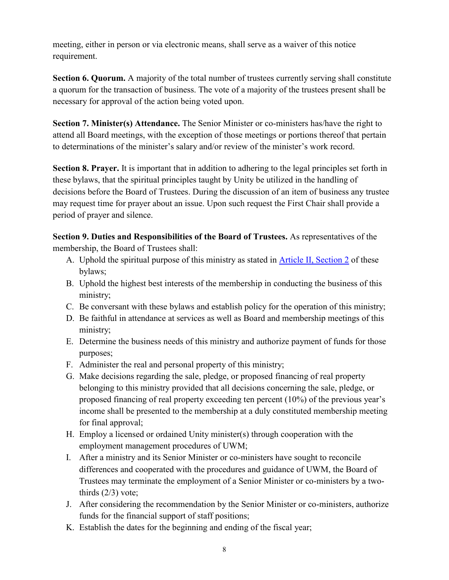meeting, either in person or via electronic means, shall serve as a waiver of this notice requirement.

<span id="page-7-0"></span>**Section 6. Quorum.** A majority of the total number of trustees currently serving shall constitute a quorum for the transaction of business. The vote of a majority of the trustees present shall be necessary for approval of the action being voted upon.

<span id="page-7-1"></span>**Section 7. Minister(s) Attendance.** The Senior Minister or co-ministers has/have the right to attend all Board meetings, with the exception of those meetings or portions thereof that pertain to determinations of the minister's salary and/or review of the minister's work record.

<span id="page-7-2"></span>**Section 8. Prayer.** It is important that in addition to adhering to the legal principles set forth in these bylaws, that the spiritual principles taught by Unity be utilized in the handling of decisions before the Board of Trustees. During the discussion of an item of business any trustee may request time for prayer about an issue. Upon such request the First Chair shall provide a period of prayer and silence.

<span id="page-7-3"></span>**Section 9. Duties and Responsibilities of the Board of Trustees.** As representatives of the membership, the Board of Trustees shall:

- A. Uphold the spiritual purpose of this ministry as stated in [Article II, Section 2](#page-1-5) of these bylaws;
- B. Uphold the highest best interests of the membership in conducting the business of this ministry;
- C. Be conversant with these bylaws and establish policy for the operation of this ministry;
- D. Be faithful in attendance at services as well as Board and membership meetings of this ministry;
- E. Determine the business needs of this ministry and authorize payment of funds for those purposes;
- F. Administer the real and personal property of this ministry;
- G. Make decisions regarding the sale, pledge, or proposed financing of real property belonging to this ministry provided that all decisions concerning the sale, pledge, or proposed financing of real property exceeding ten percent (10%) of the previous year's income shall be presented to the membership at a duly constituted membership meeting for final approval;
- H. Employ a licensed or ordained Unity minister(s) through cooperation with the employment management procedures of UWM;
- I. After a ministry and its Senior Minister or co-ministers have sought to reconcile differences and cooperated with the procedures and guidance of UWM, the Board of Trustees may terminate the employment of a Senior Minister or co-ministers by a twothirds  $(2/3)$  vote;
- J. After considering the recommendation by the Senior Minister or co-ministers, authorize funds for the financial support of staff positions;
- K. Establish the dates for the beginning and ending of the fiscal year;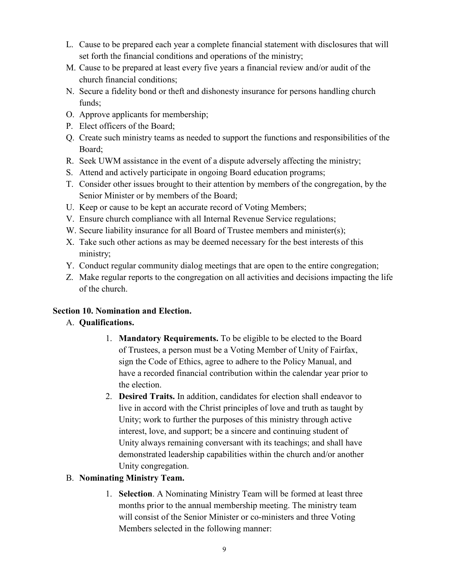- L. Cause to be prepared each year a complete financial statement with disclosures that will set forth the financial conditions and operations of the ministry;
- M. Cause to be prepared at least every five years a financial review and/or audit of the church financial conditions;
- N. Secure a fidelity bond or theft and dishonesty insurance for persons handling church funds;
- O. Approve applicants for membership;
- P. Elect officers of the Board;
- Q. Create such ministry teams as needed to support the functions and responsibilities of the Board;
- R. Seek UWM assistance in the event of a dispute adversely affecting the ministry;
- S. Attend and actively participate in ongoing Board education programs;
- T. Consider other issues brought to their attention by members of the congregation, by the Senior Minister or by members of the Board;
- U. Keep or cause to be kept an accurate record of Voting Members;
- V. Ensure church compliance with all Internal Revenue Service regulations;
- W. Secure liability insurance for all Board of Trustee members and minister(s);
- X. Take such other actions as may be deemed necessary for the best interests of this ministry;
- Y. Conduct regular community dialog meetings that are open to the entire congregation;
- Z. Make regular reports to the congregation on all activities and decisions impacting the life of the church.

## <span id="page-8-1"></span><span id="page-8-0"></span>**Section 10. Nomination and Election.**

## A. **Qualifications.**

- 1. **Mandatory Requirements.** To be eligible to be elected to the Board of Trustees, a person must be a Voting Member of Unity of Fairfax, sign the Code of Ethics, agree to adhere to the Policy Manual, and have a recorded financial contribution within the calendar year prior to the election.
- 2. **Desired Traits.** In addition, candidates for election shall endeavor to live in accord with the Christ principles of love and truth as taught by Unity; work to further the purposes of this ministry through active interest, love, and support; be a sincere and continuing student of Unity always remaining conversant with its teachings; and shall have demonstrated leadership capabilities within the church and/or another Unity congregation.

## <span id="page-8-2"></span>B. **Nominating Ministry Team.**

1. **Selection**. A Nominating Ministry Team will be formed at least three months prior to the annual membership meeting. The ministry team will consist of the Senior Minister or co-ministers and three Voting Members selected in the following manner: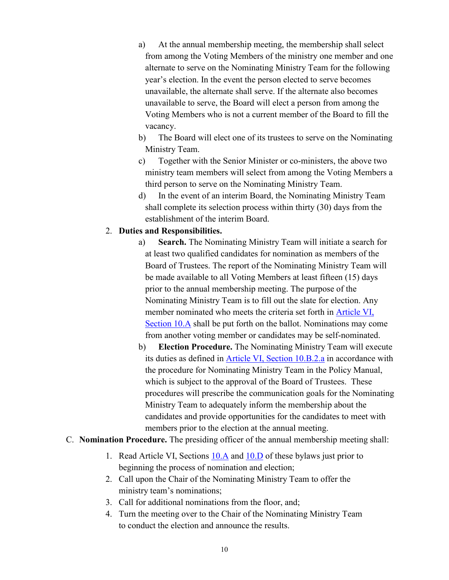- a) At the annual membership meeting, the membership shall select from among the Voting Members of the ministry one member and one alternate to serve on the Nominating Ministry Team for the following year's election. In the event the person elected to serve becomes unavailable, the alternate shall serve. If the alternate also becomes unavailable to serve, the Board will elect a person from among the Voting Members who is not a current member of the Board to fill the vacancy.
- b) The Board will elect one of its trustees to serve on the Nominating Ministry Team.
- c) Together with the Senior Minister or co-ministers, the above two ministry team members will select from among the Voting Members a third person to serve on the Nominating Ministry Team.
- d) In the event of an interim Board, the Nominating Ministry Team shall complete its selection process within thirty (30) days from the establishment of the interim Board.

#### <span id="page-9-0"></span>2. **Duties and Responsibilities.**

- a) **Search.** The Nominating Ministry Team will initiate a search for at least two qualified candidates for nomination as members of the Board of Trustees. The report of the Nominating Ministry Team will be made available to all Voting Members at least fifteen (15) days prior to the annual membership meeting. The purpose of the Nominating Ministry Team is to fill out the slate for election. Any member nominated who meets the criteria set forth in [Article VI,](#page-8-1)  [Section 10.A](#page-8-1) shall be put forth on the ballot. Nominations may come from another voting member or candidates may be self-nominated.
- b) **Election Procedure.** The Nominating Ministry Team will execute its duties as defined in [Article VI, Section 10.B.2.a](#page-9-0) in accordance with the procedure for Nominating Ministry Team in the Policy Manual, which is subject to the approval of the Board of Trustees. These procedures will prescribe the communication goals for the Nominating Ministry Team to adequately inform the membership about the candidates and provide opportunities for the candidates to meet with members prior to the election at the annual meeting.
- <span id="page-9-1"></span>C. **Nomination Procedure.** The presiding officer of the annual membership meeting shall:
	- 1. Read Article VI, Sections [10.A](#page-8-1) and [10.D](#page-10-2) of these bylaws just prior to beginning the process of nomination and election;
	- 2. Call upon the Chair of the Nominating Ministry Team to offer the ministry team's nominations;
	- 3. Call for additional nominations from the floor, and;
	- 4. Turn the meeting over to the Chair of the Nominating Ministry Team to conduct the election and announce the results.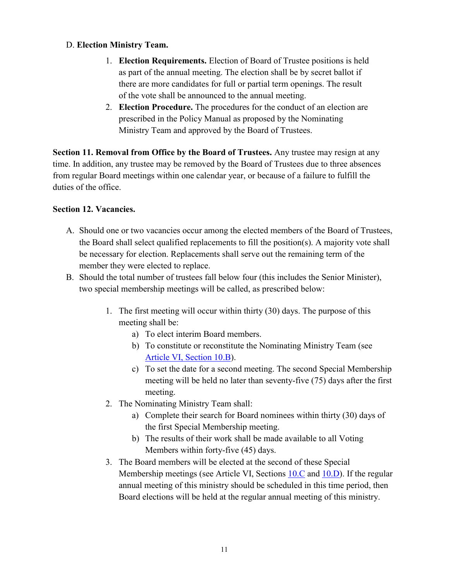#### <span id="page-10-2"></span>D. **Election Ministry Team.**

- 1. **Election Requirements.** Election of Board of Trustee positions is held as part of the annual meeting. The election shall be by secret ballot if there are more candidates for full or partial term openings. The result of the vote shall be announced to the annual meeting.
- 2. **Election Procedure.** The procedures for the conduct of an election are prescribed in the Policy Manual as proposed by the Nominating Ministry Team and approved by the Board of Trustees.

<span id="page-10-0"></span>**Section 11. Removal from Office by the Board of Trustees.** Any trustee may resign at any time. In addition, any trustee may be removed by the Board of Trustees due to three absences from regular Board meetings within one calendar year, or because of a failure to fulfill the duties of the office.

#### <span id="page-10-1"></span>**Section 12. Vacancies.**

- A. Should one or two vacancies occur among the elected members of the Board of Trustees, the Board shall select qualified replacements to fill the position(s). A majority vote shall be necessary for election. Replacements shall serve out the remaining term of the member they were elected to replace.
- B. Should the total number of trustees fall below four (this includes the Senior Minister), two special membership meetings will be called, as prescribed below:
	- 1. The first meeting will occur within thirty (30) days. The purpose of this meeting shall be:
		- a) To elect interim Board members.
		- b) To constitute or reconstitute the Nominating Ministry Team (see [Article VI, Section 10.B\)](#page-8-2).
		- c) To set the date for a second meeting. The second Special Membership meeting will be held no later than seventy-five (75) days after the first meeting.
	- 2. The Nominating Ministry Team shall:
		- a) Complete their search for Board nominees within thirty (30) days of the first Special Membership meeting.
		- b) The results of their work shall be made available to all Voting Members within forty-five (45) days.
	- 3. The Board members will be elected at the second of these Special Membership meetings (see Article VI, Sections [10.C](#page-9-1) and [10.D\)](#page-10-2). If the regular annual meeting of this ministry should be scheduled in this time period, then Board elections will be held at the regular annual meeting of this ministry.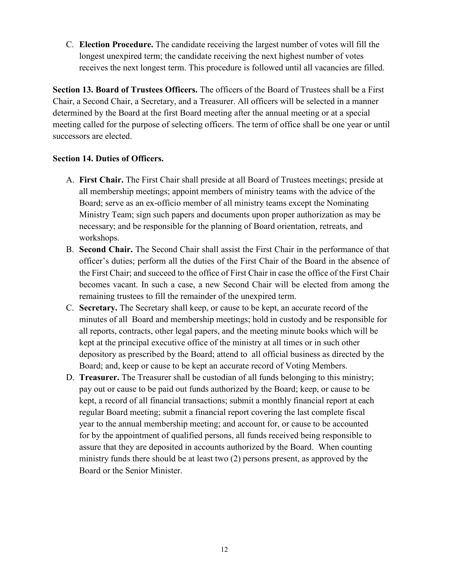C. **Election Procedure.** The candidate receiving the largest number of votes will fill the longest unexpired term; the candidate receiving the next highest number of votes receives the next longest term. This procedure is followed until all vacancies are filled.

<span id="page-11-0"></span>**Section 13. Board of Trustees Officers.** The officers of the Board of Trustees shall be a First Chair, a Second Chair, a Secretary, and a Treasurer. All officers will be selected in a manner determined by the Board at the first Board meeting after the annual meeting or at a special meeting called for the purpose of selecting officers. The term of office shall be one year or until successors are elected.

#### <span id="page-11-1"></span>**Section 14. Duties of Officers.**

- A. **First Chair.** The First Chair shall preside at all Board of Trustees meetings; preside at all membership meetings; appoint members of ministry teams with the advice of the Board; serve as an ex-officio member of all ministry teams except the Nominating Ministry Team; sign such papers and documents upon proper authorization as may be necessary; and be responsible for the planning of Board orientation, retreats, and workshops.
- B. **Second Chair.** The Second Chair shall assist the First Chair in the performance of that officer's duties; perform all the duties of the First Chair of the Board in the absence of the First Chair; and succeed to the office of First Chair in case the office of the First Chair becomes vacant. In such a case, a new Second Chair will be elected from among the remaining trustees to fill the remainder of the unexpired term.
- C. **Secretary.** The Secretary shall keep, or cause to be kept, an accurate record of the minutes of all Board and membership meetings; hold in custody and be responsible for all reports, contracts, other legal papers, and the meeting minute books which will be kept at the principal executive office of the ministry at all times or in such other depository as prescribed by the Board; attend to all official business as directed by the Board; and, keep or cause to be kept an accurate record of Voting Members.
- D. **Treasurer.** The Treasurer shall be custodian of all funds belonging to this ministry; pay out or cause to be paid out funds authorized by the Board; keep, or cause to be kept, a record of all financial transactions; submit a monthly financial report at each regular Board meeting; submit a financial report covering the last complete fiscal year to the annual membership meeting; and account for, or cause to be accounted for by the appointment of qualified persons, all funds received being responsible to assure that they are deposited in accounts authorized by the Board. When counting ministry funds there should be at least two (2) persons present, as approved by the Board or the Senior Minister.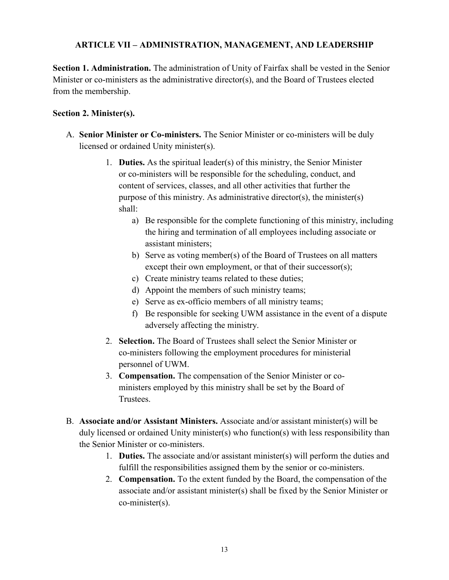#### <span id="page-12-0"></span>**ARTICLE VII – ADMINISTRATION, MANAGEMENT, AND LEADERSHIP**

<span id="page-12-1"></span>**Section 1. Administration.** The administration of Unity of Fairfax shall be vested in the Senior Minister or co-ministers as the administrative director(s), and the Board of Trustees elected from the membership.

#### <span id="page-12-2"></span>**Section 2. Minister(s).**

- A. **Senior Minister or Co-ministers.** The Senior Minister or co-ministers will be duly licensed or ordained Unity minister(s).
	- 1. **Duties.** As the spiritual leader(s) of this ministry, the Senior Minister or co-ministers will be responsible for the scheduling, conduct, and content of services, classes, and all other activities that further the purpose of this ministry. As administrative director(s), the minister(s) shall:
		- a) Be responsible for the complete functioning of this ministry, including the hiring and termination of all employees including associate or assistant ministers;
		- b) Serve as voting member(s) of the Board of Trustees on all matters except their own employment, or that of their successor(s);
		- c) Create ministry teams related to these duties;
		- d) Appoint the members of such ministry teams;
		- e) Serve as ex-officio members of all ministry teams;
		- f) Be responsible for seeking UWM assistance in the event of a dispute adversely affecting the ministry.
	- 2. **Selection.** The Board of Trustees shall select the Senior Minister or co-ministers following the employment procedures for ministerial personnel of UWM.
	- 3. **Compensation.** The compensation of the Senior Minister or coministers employed by this ministry shall be set by the Board of Trustees.
- B. **Associate and/or Assistant Ministers.** Associate and/or assistant minister(s) will be duly licensed or ordained Unity minister(s) who function(s) with less responsibility than the Senior Minister or co-ministers.
	- 1. **Duties.** The associate and/or assistant minister(s) will perform the duties and fulfill the responsibilities assigned them by the senior or co-ministers.
	- 2. **Compensation.** To the extent funded by the Board, the compensation of the associate and/or assistant minister(s) shall be fixed by the Senior Minister or co-minister(s).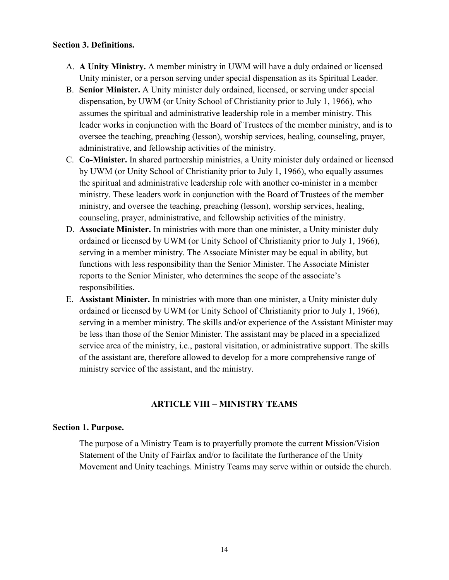#### <span id="page-13-0"></span>**Section 3. Definitions.**

- A. **A Unity Ministry.** A member ministry in UWM will have a duly ordained or licensed Unity minister, or a person serving under special dispensation as its Spiritual Leader.
- B. **Senior Minister.** A Unity minister duly ordained, licensed, or serving under special dispensation, by UWM (or Unity School of Christianity prior to July 1, 1966), who assumes the spiritual and administrative leadership role in a member ministry. This leader works in conjunction with the Board of Trustees of the member ministry, and is to oversee the teaching, preaching (lesson), worship services, healing, counseling, prayer, administrative, and fellowship activities of the ministry.
- C. **Co-Minister.** In shared partnership ministries, a Unity minister duly ordained or licensed by UWM (or Unity School of Christianity prior to July 1, 1966), who equally assumes the spiritual and administrative leadership role with another co-minister in a member ministry. These leaders work in conjunction with the Board of Trustees of the member ministry, and oversee the teaching, preaching (lesson), worship services, healing, counseling, prayer, administrative, and fellowship activities of the ministry.
- D. **Associate Minister.** In ministries with more than one minister, a Unity minister duly ordained or licensed by UWM (or Unity School of Christianity prior to July 1, 1966), serving in a member ministry. The Associate Minister may be equal in ability, but functions with less responsibility than the Senior Minister. The Associate Minister reports to the Senior Minister, who determines the scope of the associate's responsibilities.
- E. **Assistant Minister.** In ministries with more than one minister, a Unity minister duly ordained or licensed by UWM (or Unity School of Christianity prior to July 1, 1966), serving in a member ministry. The skills and/or experience of the Assistant Minister may be less than those of the Senior Minister. The assistant may be placed in a specialized service area of the ministry, i.e., pastoral visitation, or administrative support. The skills of the assistant are, therefore allowed to develop for a more comprehensive range of ministry service of the assistant, and the ministry.

#### **ARTICLE VIII – MINISTRY TEAMS**

#### <span id="page-13-2"></span><span id="page-13-1"></span>**Section 1. Purpose.**

The purpose of a Ministry Team is to prayerfully promote the current Mission/Vision Statement of the Unity of Fairfax and/or to facilitate the furtherance of the Unity Movement and Unity teachings. Ministry Teams may serve within or outside the church.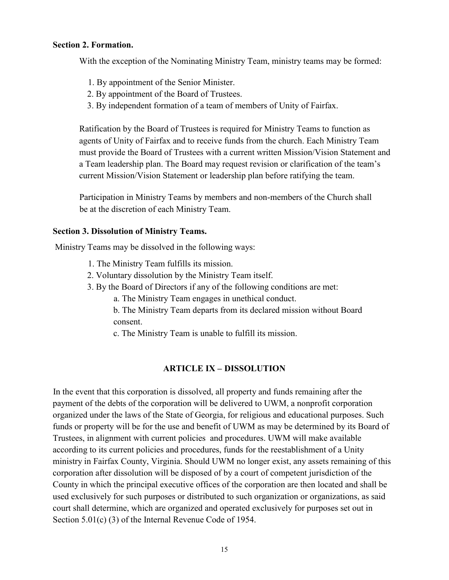#### <span id="page-14-0"></span>**Section 2. Formation.**

With the exception of the Nominating Ministry Team, ministry teams may be formed:

- 1. By appointment of the Senior Minister.
- 2. By appointment of the Board of Trustees.
- 3. By independent formation of a team of members of Unity of Fairfax.

Ratification by the Board of Trustees is required for Ministry Teams to function as agents of Unity of Fairfax and to receive funds from the church. Each Ministry Team must provide the Board of Trustees with a current written Mission/Vision Statement and a Team leadership plan. The Board may request revision or clarification of the team's current Mission/Vision Statement or leadership plan before ratifying the team.

Participation in Ministry Teams by members and non-members of the Church shall be at the discretion of each Ministry Team.

#### <span id="page-14-1"></span>**Section 3. Dissolution of Ministry Teams.**

Ministry Teams may be dissolved in the following ways:

- 1. The Ministry Team fulfills its mission.
- 2. Voluntary dissolution by the Ministry Team itself.
- 3. By the Board of Directors if any of the following conditions are met:
	- a. The Ministry Team engages in unethical conduct.
	- b. The Ministry Team departs from its declared mission without Board consent.
	- c. The Ministry Team is unable to fulfill its mission.

#### **ARTICLE IX – DISSOLUTION**

<span id="page-14-2"></span>In the event that this corporation is dissolved, all property and funds remaining after the payment of the debts of the corporation will be delivered to UWM, a nonprofit corporation organized under the laws of the State of Georgia, for religious and educational purposes. Such funds or property will be for the use and benefit of UWM as may be determined by its Board of Trustees, in alignment with current policies and procedures. UWM will make available according to its current policies and procedures, funds for the reestablishment of a Unity ministry in Fairfax County, Virginia. Should UWM no longer exist, any assets remaining of this corporation after dissolution will be disposed of by a court of competent jurisdiction of the County in which the principal executive offices of the corporation are then located and shall be used exclusively for such purposes or distributed to such organization or organizations, as said court shall determine, which are organized and operated exclusively for purposes set out in Section 5.01(c) (3) of the Internal Revenue Code of 1954.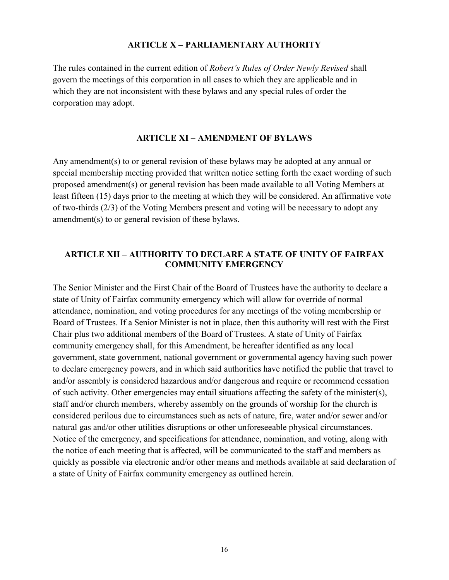#### **ARTICLE X – PARLIAMENTARY AUTHORITY**

<span id="page-15-1"></span><span id="page-15-0"></span>The rules contained in the current edition of *Robert's Rules of Order Newly Revised* shall govern the meetings of this corporation in all cases to which they are applicable and in which they are not inconsistent with these bylaws and any special rules of order the corporation may adopt.

#### **ARTICLE XI – AMENDMENT OF BYLAWS**

Any amendment(s) to or general revision of these bylaws may be adopted at any annual or special membership meeting provided that written notice setting forth the exact wording of such proposed amendment(s) or general revision has been made available to all Voting Members at least fifteen (15) days prior to the meeting at which they will be considered. An affirmative vote of two-thirds (2/3) of the Voting Members present and voting will be necessary to adopt any amendment(s) to or general revision of these bylaws.

#### <span id="page-15-2"></span>**ARTICLE XII – AUTHORITY TO DECLARE A STATE OF UNITY OF FAIRFAX COMMUNITY EMERGENCY**

The Senior Minister and the First Chair of the Board of Trustees have the authority to declare a state of Unity of Fairfax community emergency which will allow for override of normal attendance, nomination, and voting procedures for any meetings of the voting membership or Board of Trustees. If a Senior Minister is not in place, then this authority will rest with the First Chair plus two additional members of the Board of Trustees. A state of Unity of Fairfax community emergency shall, for this Amendment, be hereafter identified as any local government, state government, national government or governmental agency having such power to declare emergency powers, and in which said authorities have notified the public that travel to and/or assembly is considered hazardous and/or dangerous and require or recommend cessation of such activity. Other emergencies may entail situations affecting the safety of the minister(s), staff and/or church members, whereby assembly on the grounds of worship for the church is considered perilous due to circumstances such as acts of nature, fire, water and/or sewer and/or natural gas and/or other utilities disruptions or other unforeseeable physical circumstances. Notice of the emergency, and specifications for attendance, nomination, and voting, along with the notice of each meeting that is affected, will be communicated to the staff and members as quickly as possible via electronic and/or other means and methods available at said declaration of a state of Unity of Fairfax community emergency as outlined herein.